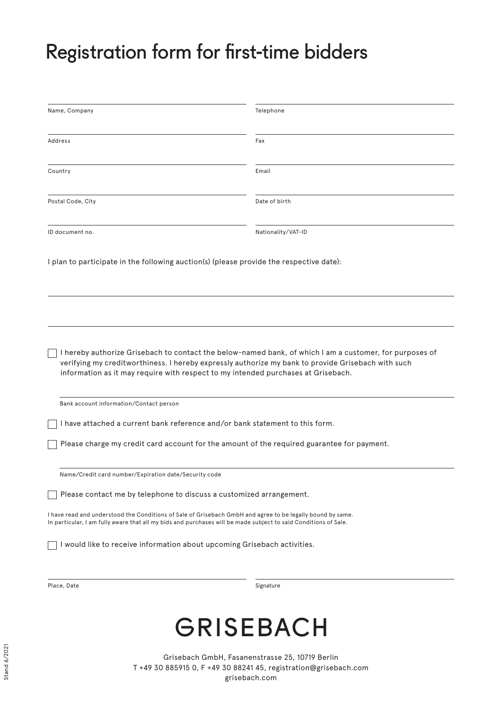## Registration form for first-time bidders

| Name, Company                                                                                                                                                                                                                                                                                      | Telephone          |
|----------------------------------------------------------------------------------------------------------------------------------------------------------------------------------------------------------------------------------------------------------------------------------------------------|--------------------|
| Address                                                                                                                                                                                                                                                                                            | Fax                |
| Country                                                                                                                                                                                                                                                                                            | Email              |
| Postal Code, City                                                                                                                                                                                                                                                                                  | Date of birth      |
| ID document no.                                                                                                                                                                                                                                                                                    | Nationality/VAT-ID |
| I plan to participate in the following auction(s) (please provide the respective date):                                                                                                                                                                                                            |                    |
|                                                                                                                                                                                                                                                                                                    |                    |
| I hereby authorize Grisebach to contact the below-named bank, of which I am a customer, for purposes of<br>verifying my creditworthiness. I hereby expressly authorize my bank to provide Grisebach with such<br>information as it may require with respect to my intended purchases at Grisebach. |                    |
| Bank account information/Contact person                                                                                                                                                                                                                                                            |                    |
| I have attached a current bank reference and/or bank statement to this form.                                                                                                                                                                                                                       |                    |
| Please charge my credit card account for the amount of the required guarantee for payment.                                                                                                                                                                                                         |                    |
| Name/Credit card number/Expiration date/Security code                                                                                                                                                                                                                                              |                    |
| Please contact me by telephone to discuss a customized arrangement.                                                                                                                                                                                                                                |                    |
| I have read and understood the Conditions of Sale of Grisebach GmbH and agree to be legally bound by same.<br>In particular, I am fully aware that all my bids and purchases will be made subject to said Conditions of Sale.                                                                      |                    |
| I would like to receive information about upcoming Grisebach activities.                                                                                                                                                                                                                           |                    |
| Place, Date                                                                                                                                                                                                                                                                                        | Signature          |

# **GRISEBACH**

Grisebach GmbH, Fasanenstrasse 25, 10719 Berlin T +49 30 885915 0, F +49 30 88241 45, registration@grisebach.com grisebach.com